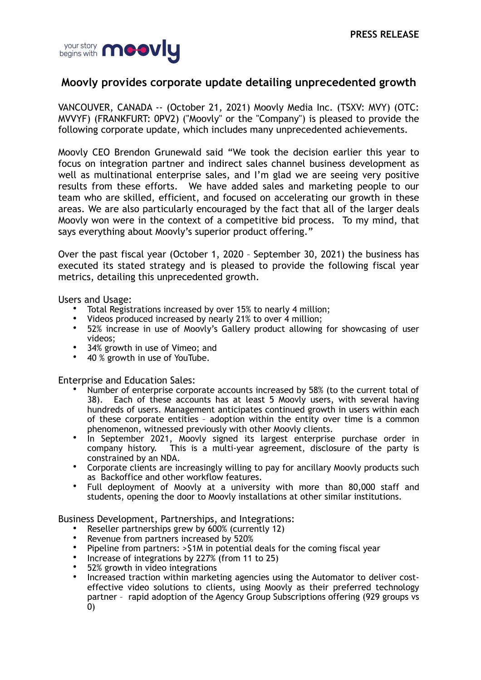

# **Moovly provides corporate update detailing unprecedented growth**

VANCOUVER, CANADA -- (October 21, 2021) Moovly Media Inc. (TSXV: MVY) (OTC: MVVYF) (FRANKFURT: 0PV2) ("Moovly" or the "Company") is pleased to provide the following corporate update, which includes many unprecedented achievements.

Moovly CEO Brendon Grunewald said "We took the decision earlier this year to focus on integration partner and indirect sales channel business development as well as multinational enterprise sales, and I'm glad we are seeing very positive results from these efforts. We have added sales and marketing people to our team who are skilled, efficient, and focused on accelerating our growth in these areas. We are also particularly encouraged by the fact that all of the larger deals Moovly won were in the context of a competitive bid process. To my mind, that says everything about Moovly's superior product offering."

Over the past fiscal year (October 1, 2020 – September 30, 2021) the business has executed its stated strategy and is pleased to provide the following fiscal year metrics, detailing this unprecedented growth.

Users and Usage:

- Total Registrations increased by over 15% to nearly 4 million;
- Videos produced increased by nearly 21% to over 4 million;
- 52% increase in use of Moovly's Gallery product allowing for showcasing of user videos;
- 34% growth in use of Vimeo; and
- 40 % growth in use of YouTube.

Enterprise and Education Sales:

- Number of enterprise corporate accounts increased by 58% (to the current total of 38). Each of these accounts has at least 5 Moovly users, with several having hundreds of users. Management anticipates continued growth in users within each of these corporate entities – adoption within the entity over time is a common phenomenon, witnessed previously with other Moovly clients.
- In September 2021, Moovly signed its largest enterprise purchase order in company history. This is a multi-year agreement, disclosure of the party is constrained by an NDA.
- Corporate clients are increasingly willing to pay for ancillary Moovly products such as Backoffice and other workflow features.
- Full deployment of Moovly at a university with more than 80,000 staff and students, opening the door to Moovly installations at other similar institutions.

Business Development, Partnerships, and Integrations:

- Reseller partnerships grew by 600% (currently 12)
- Revenue from partners increased by 520%
- Pipeline from partners: >\$1M in potential deals for the coming fiscal year
- Increase of integrations by 227% (from 11 to 25)
- 52% growth in video integrations
- Increased traction within marketing agencies using the Automator to deliver costeffective video solutions to clients, using Moovly as their preferred technology partner – rapid adoption of the Agency Group Subscriptions offering (929 groups vs 0)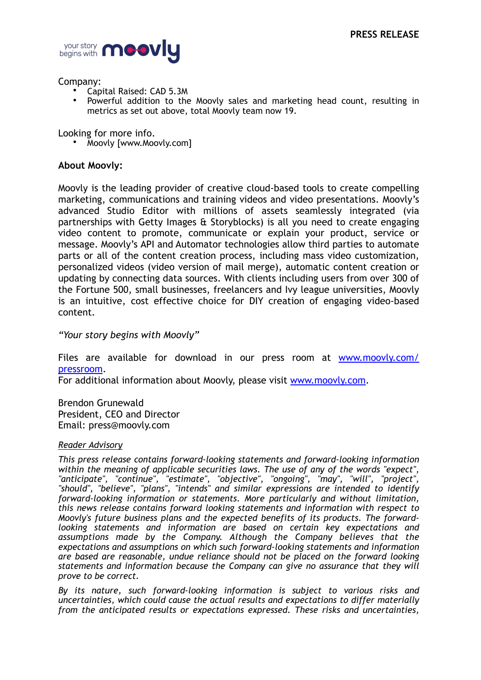

### Company:

- Capital Raised: CAD 5.3M
- Powerful addition to the Moovly sales and marketing head count, resulting in metrics as set out above, total Moovly team now 19.

Looking for more info.

• Moovly [www.Moovly.com]

## **About Moovly:**

Moovly is the leading provider of creative cloud-based tools to create compelling marketing, communications and training videos and video presentations. Moovly's advanced Studio Editor with millions of assets seamlessly integrated (via partnerships with Getty Images & Storyblocks) is all you need to create engaging video content to promote, communicate or explain your product, service or message. Moovly's API and Automator technologies allow third parties to automate parts or all of the content creation process, including mass video customization, personalized videos (video version of mail merge), automatic content creation or updating by connecting data sources. With clients including users from over 300 of the Fortune 500, small businesses, freelancers and Ivy league universities, Moovly is an intuitive, cost effective choice for DIY creation of engaging video-based content.

#### *"Your story begins with Moovly"*

Files are available for download in our press room at [www.moovly.com/](http://www.moovly.com/pressroom) [pressroom](http://www.moovly.com/pressroom).

For additional information about Moovly, please visit [www.moovly.com](https://www.moovly.com/).

Brendon Grunewald President, CEO and Director Email: press@moovly.com

#### *Reader Advisory*

*This press release contains forward-looking statements and forward-looking information within the meaning of applicable securities laws. The use of any of the words "expect", "anticipate", "continue", "estimate", "objective", "ongoing", "may", "will", "project", "should", "believe", "plans", "intends" and similar expressions are intended to identify forward-looking information or statements. More particularly and without limitation, this news release contains forward looking statements and information with respect to Moovly's future business plans and the expected benefits of its products. The forwardlooking statements and information are based on certain key expectations and assumptions made by the Company. Although the Company believes that the expectations and assumptions on which such forward-looking statements and information are based are reasonable, undue reliance should not be placed on the forward looking statements and information because the Company can give no assurance that they will prove to be correct.* 

*By its nature, such forward-looking information is subject to various risks and uncertainties, which could cause the actual results and expectations to differ materially from the anticipated results or expectations expressed. These risks and uncertainties,*